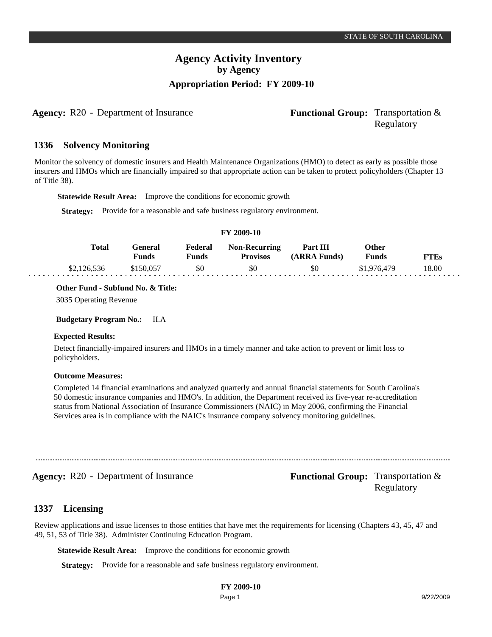**Agency:** R20 - Department of Insurance **Functional Group:** Transportation &

# Regulatory

#### **Solvency Monitoring 1336**

Monitor the solvency of domestic insurers and Health Maintenance Organizations (HMO) to detect as early as possible those insurers and HMOs which are financially impaired so that appropriate action can be taken to protect policyholders (Chapter 13 of Title 38).

**Statewide Result Area:** Improve the conditions for economic growth

**Strategy:** Provide for a reasonable and safe business regulatory environment.

#### **FY 2009-10**

| Total       | General<br>Funds | Federal<br><b>Funds</b> | <b>Non-Recurring</b><br><b>Provisos</b> | Part III<br>(ARRA Funds) | Other<br><b>Funds</b> | FTEs  |
|-------------|------------------|-------------------------|-----------------------------------------|--------------------------|-----------------------|-------|
| \$2,126,536 | \$150.057        | \$0                     | \$0                                     | \$0                      | \$1,976,479           | 18.00 |

**Other Fund - Subfund No. & Title:**

3035 Operating Revenue

**Budgetary Program No.:** II.A

#### **Expected Results:**

Detect financially-impaired insurers and HMOs in a timely manner and take action to prevent or limit loss to policyholders.

#### **Outcome Measures:**

Completed 14 financial examinations and analyzed quarterly and annual financial statements for South Carolina's 50 domestic insurance companies and HMO's. In addition, the Department received its five-year re-accreditation status from National Association of Insurance Commissioners (NAIC) in May 2006, confirming the Financial Services area is in compliance with the NAIC's insurance company solvency monitoring guidelines.

**Agency:** R20 - Department of Insurance **Functional Group:** Transportation &

Regulatory

#### **Licensing 1337**

Review applications and issue licenses to those entities that have met the requirements for licensing (Chapters 43, 45, 47 and 49, 51, 53 of Title 38). Administer Continuing Education Program.

**Statewide Result Area:** Improve the conditions for economic growth

**Strategy:** Provide for a reasonable and safe business regulatory environment.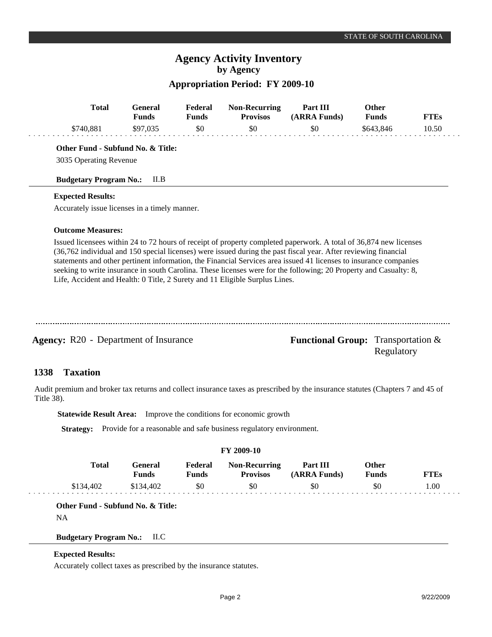## **Agency Activity Inventory by Agency**

### **Appropriation Period: FY 2009-10**

| <b>Total</b>                                                                                                                                 | <b>General</b><br><b>Funds</b> | Federal<br><b>Funds</b> | <b>Non-Recurring</b><br><b>Provisos</b>                                     | Part III<br>(ARRA Funds)                                                                                                                                                                                                               | Other<br><b>Funds</b>        | <b>FTEs</b> |
|----------------------------------------------------------------------------------------------------------------------------------------------|--------------------------------|-------------------------|-----------------------------------------------------------------------------|----------------------------------------------------------------------------------------------------------------------------------------------------------------------------------------------------------------------------------------|------------------------------|-------------|
| \$740,881                                                                                                                                    | \$97,035                       | \$0                     | \$0                                                                         | \$0                                                                                                                                                                                                                                    | \$643,846                    | 10.50       |
| Other Fund - Subfund No. & Title:<br>3035 Operating Revenue                                                                                  |                                |                         |                                                                             |                                                                                                                                                                                                                                        |                              |             |
| <b>Budgetary Program No.:</b>                                                                                                                | II.B                           |                         |                                                                             |                                                                                                                                                                                                                                        |                              |             |
| <b>Expected Results:</b>                                                                                                                     |                                |                         |                                                                             |                                                                                                                                                                                                                                        |                              |             |
| Accurately issue licenses in a timely manner.                                                                                                |                                |                         |                                                                             |                                                                                                                                                                                                                                        |                              |             |
| <b>Outcome Measures:</b>                                                                                                                     |                                |                         |                                                                             |                                                                                                                                                                                                                                        |                              |             |
|                                                                                                                                              |                                |                         | Life, Accident and Health: 0 Title, 2 Surety and 11 Eligible Surplus Lines. | statements and other pertinent information, the Financial Services area issued 41 licenses to insurance companies<br>seeking to write insurance in south Carolina. These licenses were for the following; 20 Property and Casualty: 8, |                              |             |
| <b>Agency:</b> R20 - Department of Insurance                                                                                                 |                                |                         |                                                                             | <b>Functional Group:</b> Transportation &                                                                                                                                                                                              | Regulatory                   |             |
| 1338<br><b>Taxation</b>                                                                                                                      |                                |                         |                                                                             |                                                                                                                                                                                                                                        |                              |             |
| Audit premium and broker tax returns and collect insurance taxes as prescribed by the insurance statutes (Chapters 7 and 45 of<br>Title 38). |                                |                         |                                                                             |                                                                                                                                                                                                                                        |                              |             |
| <b>Statewide Result Area:</b>                                                                                                                |                                |                         | Improve the conditions for economic growth                                  |                                                                                                                                                                                                                                        |                              |             |
| <b>Strategy:</b>                                                                                                                             |                                |                         | Provide for a reasonable and safe business regulatory environment.          |                                                                                                                                                                                                                                        |                              |             |
|                                                                                                                                              |                                |                         |                                                                             |                                                                                                                                                                                                                                        |                              |             |
| <b>Total</b>                                                                                                                                 |                                |                         | FY 2009-10                                                                  |                                                                                                                                                                                                                                        |                              |             |
|                                                                                                                                              | General<br><b>Funds</b>        | Federal<br><b>Funds</b> | <b>Non-Recurring</b><br><b>Provisos</b>                                     | Part III<br>(ARRA Funds)                                                                                                                                                                                                               | <b>Other</b><br><b>Funds</b> | <b>FTEs</b> |

**Other Fund - Subfund No. & Title:**

NA

### **Budgetary Program No.:** II.C

### **Expected Results:**

Accurately collect taxes as prescribed by the insurance statutes.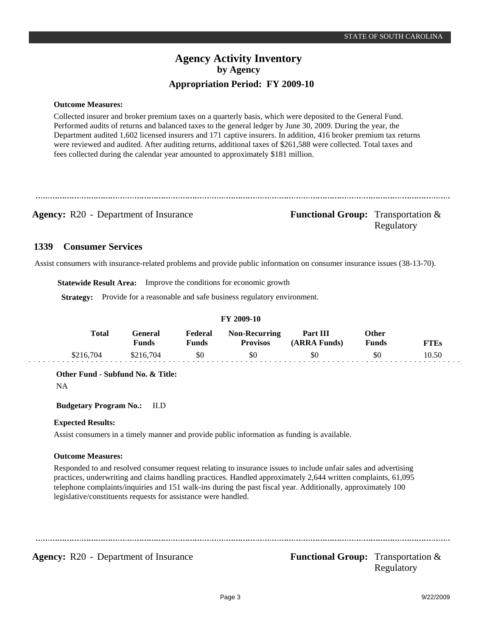**Outcome Measures:**

Collected insurer and broker premium taxes on a quarterly basis, which were deposited to the General Fund. Performed audits of returns and balanced taxes to the general ledger by June 30, 2009. During the year, the Department audited 1,602 licensed insurers and 171 captive insurers. In addition, 416 broker premium tax returns were reviewed and audited. After auditing returns, additional taxes of \$261,588 were collected. Total taxes and fees collected during the calendar year amounted to approximately \$181 million.

**Agency:** R20 - Department of Insurance **Functional Group:** Transportation & Regulatory

#### **Consumer Services 1339**

Assist consumers with insurance-related problems and provide public information on consumer insurance issues (38-13-70).

**Statewide Result Area:** Improve the conditions for economic growth

**Strategy:** Provide for a reasonable and safe business regulatory environment.

### **FY 2009-10**

| Total     | General<br>Funds | Federal<br>पmds | <b>Non-Recurring</b><br><b>Provisos</b> | Part III<br>(ARRA Funds) | Other<br>Funds | <b>FTEs</b> |
|-----------|------------------|-----------------|-----------------------------------------|--------------------------|----------------|-------------|
| \$216,704 | \$216,704        | \$0             | \$0                                     | \$0                      | \$0            | 10.50       |

**Other Fund - Subfund No. & Title:**

NA

**Budgetary Program No.:** II.D

### **Expected Results:**

Assist consumers in a timely manner and provide public information as funding is available.

### **Outcome Measures:**

Responded to and resolved consumer request relating to insurance issues to include unfair sales and advertising practices, underwriting and claims handling practices. Handled approximately 2,644 written complaints, 61,095 telephone complaints/inquiries and 151 walk-ins during the past fiscal year. Additionally, approximately 100 legislative/constituents requests for assistance were handled.

**Agency:** R20 - Department of Insurance **Functional Group:** Transportation &

Regulatory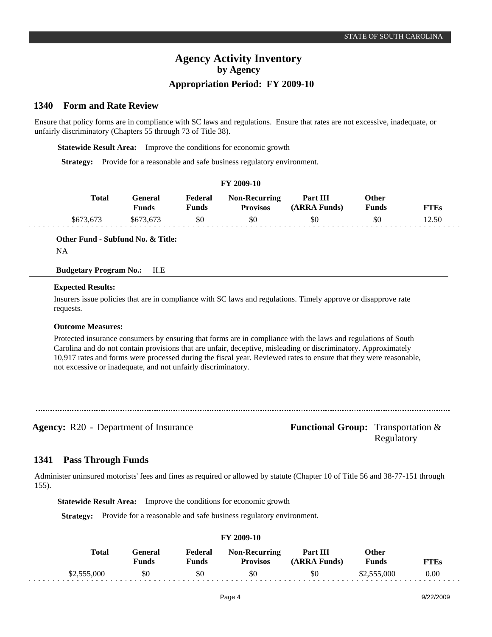#### **Form and Rate Review 1340**

Ensure that policy forms are in compliance with SC laws and regulations. Ensure that rates are not excessive, inadequate, or unfairly discriminatory (Chapters 55 through 73 of Title 38).

**Statewide Result Area:** Improve the conditions for economic growth

**Strategy:** Provide for a reasonable and safe business regulatory environment.

| FY 2009-10 |                         |                         |                                         |                          |                              |             |  |  |
|------------|-------------------------|-------------------------|-----------------------------------------|--------------------------|------------------------------|-------------|--|--|
| Total      | General<br><b>Funds</b> | Federal<br><b>Funds</b> | <b>Non-Recurring</b><br><b>Provisos</b> | Part III<br>(ARRA Funds) | <b>Other</b><br><b>Funds</b> | <b>FTEs</b> |  |  |
| \$673,673  | \$673,673               | \$0                     | \$0                                     | \$0                      | \$0                          | 12.50       |  |  |

#### **Other Fund - Subfund No. & Title:**

NA

#### **Budgetary Program No.:** II.E

#### **Expected Results:**

Insurers issue policies that are in compliance with SC laws and regulations. Timely approve or disapprove rate requests.

#### **Outcome Measures:**

Protected insurance consumers by ensuring that forms are in compliance with the laws and regulations of South Carolina and do not contain provisions that are unfair, deceptive, misleading or discriminatory. Approximately 10,917 rates and forms were processed during the fiscal year. Reviewed rates to ensure that they were reasonable, not excessive or inadequate, and not unfairly discriminatory.

**Agency:** R20 - Department of Insurance **Functional Group:** Transportation &

Regulatory

#### **Pass Through Funds 1341**

Administer uninsured motorists' fees and fines as required or allowed by statute (Chapter 10 of Title 56 and 38-77-151 through 155).

**Statewide Result Area:** Improve the conditions for economic growth

**Strategy:** Provide for a reasonable and safe business regulatory environment.

| <b>Total</b> | General<br>Funds | Federal<br>Funds | <b>Non-Recurring</b><br><b>Provisos</b> | Part III<br>(ARRA Funds) | Other<br>Funds | <b>FTEs</b> |
|--------------|------------------|------------------|-----------------------------------------|--------------------------|----------------|-------------|
| \$2,555,000  | \$0              | \$0              | \$0                                     | \$0                      | \$2,555,000    | 0.00        |

#### **FY 2009-10**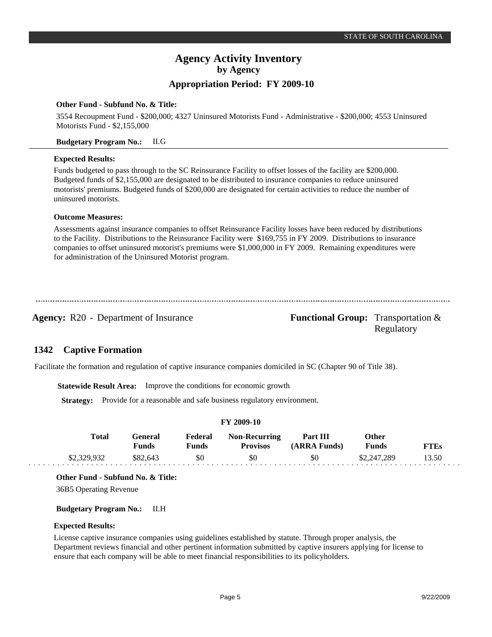## **Agency Activity Inventory by Agency**

### **Appropriation Period: FY 2009-10**

#### **Other Fund - Subfund No. & Title:**

3554 Recoupment Fund - \$200,000; 4327 Uninsured Motorists Fund - Administrative - \$200,000; 4553 Uninsured Motorists Fund - \$2,155,000

#### **Budgetary Program No.:** II.G

#### **Expected Results:**

Funds budgeted to pass through to the SC Reinsurance Facility to offset losses of the facility are \$200,000. Budgeted funds of \$2,155,000 are designated to be distributed to insurance companies to reduce uninsured motorists' premiums. Budgeted funds of \$200,000 are designated for certain activities to reduce the number of uninsured motorists.

### **Outcome Measures:**

Assessments against insurance companies to offset Reinsurance Facility losses have been reduced by distributions to the Facility. Distributions to the Reinsurance Facility were \$169,755 in FY 2009. Distributions to insurance companies to offset uninsured motorist's premiums were \$1,000,000 in FY 2009. Remaining expenditures were for administration of the Uninsured Motorist program.

**Agency:** R20 - Department of Insurance **Functional Group:** Transportation &

Regulatory

#### **Captive Formation 1342**

Facilitate the formation and regulation of captive insurance companies domiciled in SC (Chapter 90 of Title 38).

**Statewide Result Area:** Improve the conditions for economic growth

**Strategy:** Provide for a reasonable and safe business regulatory environment.

| Total       | General<br>Funds | Federal<br>Funds | <b>Non-Recurring</b><br><b>Provisos</b> | Part III<br>(ARRA Funds) | Other<br><b>Funds</b> | <b>FTEs</b> |
|-------------|------------------|------------------|-----------------------------------------|--------------------------|-----------------------|-------------|
| \$2,329,932 | \$82,643         | \$0              | \$0                                     | \$0                      | \$2,247,289           | 13.50       |

**FY 2009-10**

#### **Other Fund - Subfund No. & Title:**

36B5 Operating Revenue

#### **Budgetary Program No.:** II.H

#### **Expected Results:**

License captive insurance companies using guidelines established by statute. Through proper analysis, the Department reviews financial and other pertinent information submitted by captive insurers applying for license to ensure that each company will be able to meet financial responsibilities to its policyholders.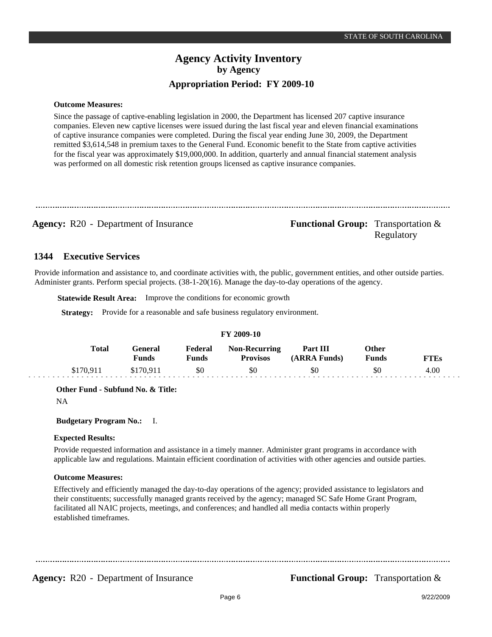#### **Outcome Measures:**

Since the passage of captive-enabling legislation in 2000, the Department has licensed 207 captive insurance companies. Eleven new captive licenses were issued during the last fiscal year and eleven financial examinations of captive insurance companies were completed. During the fiscal year ending June 30, 2009, the Department remitted \$3,614,548 in premium taxes to the General Fund. Economic benefit to the State from captive activities for the fiscal year was approximately \$19,000,000. In addition, quarterly and annual financial statement analysis was performed on all domestic risk retention groups licensed as captive insurance companies.

**Agency:** R20 - Department of Insurance **Functional Group:** Transportation & Regulatory

#### **Executive Services 1344**

Provide information and assistance to, and coordinate activities with, the public, government entities, and other outside parties. Administer grants. Perform special projects. (38-1-20(16). Manage the day-to-day operations of the agency.

**Statewide Result Area:** Improve the conditions for economic growth

**Strategy:** Provide for a reasonable and safe business regulatory environment.

#### **FY 2009-10**

| Total     | General<br>Funds | Federal<br>Funds | <b>Non-Recurring</b><br><b>Provisos</b> | <b>Part III</b><br>(ARRA Funds) | Other<br><b>Funds</b> | <b>FTEs</b> |
|-----------|------------------|------------------|-----------------------------------------|---------------------------------|-----------------------|-------------|
| \$170.911 | \$170.911        | \$0              | \$0                                     | \$0                             |                       | 4.00        |

**Other Fund - Subfund No. & Title:**

NA

#### **Budgetary Program No.:** I.

#### **Expected Results:**

Provide requested information and assistance in a timely manner. Administer grant programs in accordance with applicable law and regulations. Maintain efficient coordination of activities with other agencies and outside parties.

#### **Outcome Measures:**

Effectively and efficiently managed the day-to-day operations of the agency; provided assistance to legislators and their constituents; successfully managed grants received by the agency; managed SC Safe Home Grant Program, facilitated all NAIC projects, meetings, and conferences; and handled all media contacts within properly established timeframes.

**Agency:** R20 - Department of Insurance **Functional Group:** Transportation &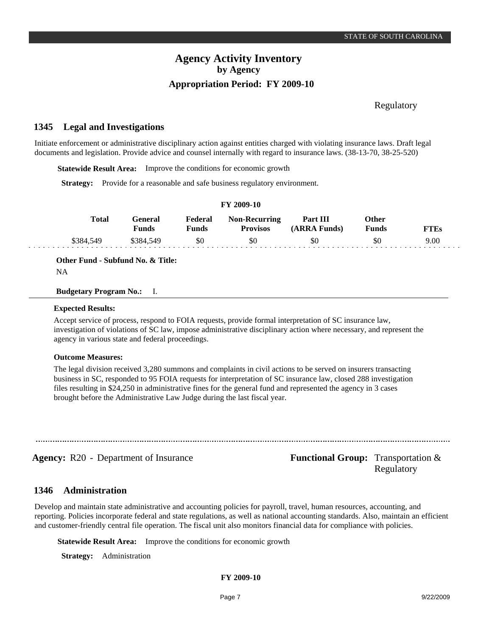Regulatory

#### **Legal and Investigations 1345**

Initiate enforcement or administrative disciplinary action against entities charged with violating insurance laws. Draft legal documents and legislation. Provide advice and counsel internally with regard to insurance laws. (38-13-70, 38-25-520)

**Statewide Result Area:** Improve the conditions for economic growth

**Strategy:** Provide for a reasonable and safe business regulatory environment.

| 1 1 2002-10 |           |                  |                         |                                         |                          |                       |      |
|-------------|-----------|------------------|-------------------------|-----------------------------------------|--------------------------|-----------------------|------|
|             | Total     | General<br>Funds | Federal<br><b>Funds</b> | <b>Non-Recurring</b><br><b>Provisos</b> | Part III<br>(ARRA Funds) | Other<br><b>Funds</b> | FTEs |
|             | \$384,549 | \$384.549        | \$0                     | \$0                                     | \$0                      | \$0                   | 9.00 |

**FY 2009-10**

**Other Fund - Subfund No. & Title:**

NA

#### **Budgetary Program No.:** I.

#### **Expected Results:**

Accept service of process, respond to FOIA requests, provide formal interpretation of SC insurance law, investigation of violations of SC law, impose administrative disciplinary action where necessary, and represent the agency in various state and federal proceedings.

#### **Outcome Measures:**

The legal division received 3,280 summons and complaints in civil actions to be served on insurers transacting business in SC, responded to 95 FOIA requests for interpretation of SC insurance law, closed 288 investigation files resulting in \$24,250 in administrative fines for the general fund and represented the agency in 3 cases brought before the Administrative Law Judge during the last fiscal year.

**Agency:** R20 - Department of Insurance **Functional Group:** Transportation & Regulatory

#### **Administration 1346**

Develop and maintain state administrative and accounting policies for payroll, travel, human resources, accounting, and reporting. Policies incorporate federal and state regulations, as well as national accounting standards. Also, maintain an efficient and customer-friendly central file operation. The fiscal unit also monitors financial data for compliance with policies.

**Statewide Result Area:** Improve the conditions for economic growth

**Strategy:** Administration

#### **FY 2009-10**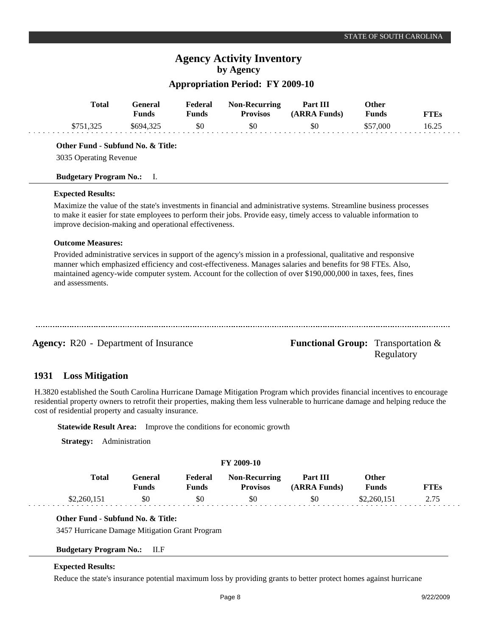## **Agency Activity Inventory by Agency**

### **Appropriation Period: FY 2009-10**

| <b>Total</b>                                                                                                                                                                                                                                                                                                           | General<br><b>Funds</b> | Federal<br><b>Funds</b> | <b>Non-Recurring</b><br><b>Provisos</b>                                  | Part III<br>(ARRA Funds)                                                                                                                                                                                                                                                                                                                           | Other<br><b>Funds</b> | <b>FTEs</b> |
|------------------------------------------------------------------------------------------------------------------------------------------------------------------------------------------------------------------------------------------------------------------------------------------------------------------------|-------------------------|-------------------------|--------------------------------------------------------------------------|----------------------------------------------------------------------------------------------------------------------------------------------------------------------------------------------------------------------------------------------------------------------------------------------------------------------------------------------------|-----------------------|-------------|
| \$751,325                                                                                                                                                                                                                                                                                                              | \$694,325               | \$0                     | \$0                                                                      | \$0                                                                                                                                                                                                                                                                                                                                                | \$57,000              | 16.25       |
| Other Fund - Subfund No. & Title:                                                                                                                                                                                                                                                                                      |                         |                         |                                                                          |                                                                                                                                                                                                                                                                                                                                                    |                       |             |
| 3035 Operating Revenue                                                                                                                                                                                                                                                                                                 |                         |                         |                                                                          |                                                                                                                                                                                                                                                                                                                                                    |                       |             |
| <b>Budgetary Program No.:</b>                                                                                                                                                                                                                                                                                          | Ι.                      |                         |                                                                          |                                                                                                                                                                                                                                                                                                                                                    |                       |             |
| <b>Expected Results:</b>                                                                                                                                                                                                                                                                                               |                         |                         |                                                                          |                                                                                                                                                                                                                                                                                                                                                    |                       |             |
| improve decision-making and operational effectiveness.                                                                                                                                                                                                                                                                 |                         |                         |                                                                          | Maximize the value of the state's investments in financial and administrative systems. Streamline business processes<br>to make it easier for state employees to perform their jobs. Provide easy, timely access to valuable information to                                                                                                        |                       |             |
| <b>Outcome Measures:</b>                                                                                                                                                                                                                                                                                               |                         |                         |                                                                          |                                                                                                                                                                                                                                                                                                                                                    |                       |             |
| and assessments.                                                                                                                                                                                                                                                                                                       |                         |                         |                                                                          | Provided administrative services in support of the agency's mission in a professional, qualitative and responsive<br>manner which emphasized efficiency and cost-effectiveness. Manages salaries and benefits for 98 FTEs. Also,<br>maintained agency-wide computer system. Account for the collection of over \$190,000,000 in taxes, fees, fines |                       |             |
| <b>Agency:</b> R20 - Department of Insurance                                                                                                                                                                                                                                                                           |                         |                         |                                                                          | <b>Functional Group:</b> Transportation &                                                                                                                                                                                                                                                                                                          | Regulatory            |             |
| 1931<br><b>Loss Mitigation</b>                                                                                                                                                                                                                                                                                         |                         |                         |                                                                          |                                                                                                                                                                                                                                                                                                                                                    |                       |             |
| H.3820 established the South Carolina Hurricane Damage Mitigation Program which provides financial incentives to encourage<br>residential property owners to retrofit their properties, making them less vulnerable to hurricane damage and helping reduce the<br>cost of residential property and casualty insurance. |                         |                         |                                                                          |                                                                                                                                                                                                                                                                                                                                                    |                       |             |
|                                                                                                                                                                                                                                                                                                                        |                         |                         | <b>Statewide Result Area:</b> Improve the conditions for economic growth |                                                                                                                                                                                                                                                                                                                                                    |                       |             |
| <b>Strategy:</b>                                                                                                                                                                                                                                                                                                       | Administration          |                         |                                                                          |                                                                                                                                                                                                                                                                                                                                                    |                       |             |
|                                                                                                                                                                                                                                                                                                                        |                         |                         | FY 2009-10                                                               |                                                                                                                                                                                                                                                                                                                                                    |                       |             |
| Total                                                                                                                                                                                                                                                                                                                  | General                 | Federal                 | Non-Recurring                                                            | Part III                                                                                                                                                                                                                                                                                                                                           | <b>Other</b>          |             |

| <b>Total</b> | General | Federal  | <b>Non-Recurring</b> | Part III     | <b>Other</b> |  |
|--------------|---------|----------|----------------------|--------------|--------------|--|
|              | Funds   | $F$ unds | <b>Provisos</b>      | (ARRA Funds) | Funds        |  |
| \$2.260.151  |         |          | \$0                  | \$0          | \$2.260151   |  |

### **Other Fund - Subfund No. & Title:**

3457 Hurricane Damage Mitigation Grant Program

### **Budgetary Program No.:** II.F

### **Expected Results:**

 $\sim$ 

Reduce the state's insurance potential maximum loss by providing grants to better protect homes against hurricane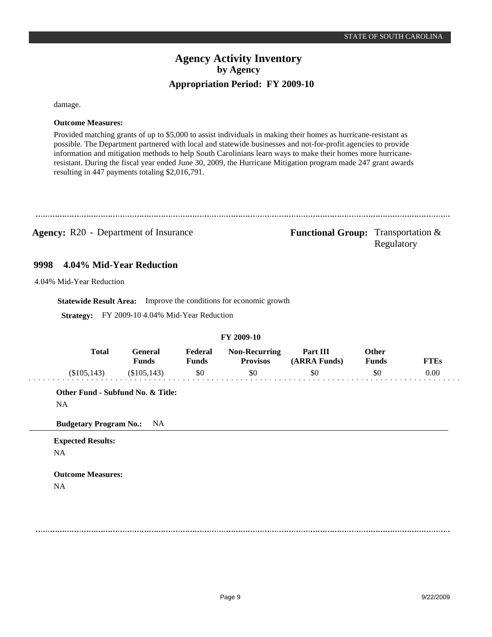damage.

### **Outcome Measures:**

Provided matching grants of up to \$5,000 to assist individuals in making their homes as hurricane-resistant as possible. The Department partnered with local and statewide businesses and not-for-profit agencies to provide information and mitigation methods to help South Carolinians learn ways to make their homes more hurricaneresistant. During the fiscal year ended June 30, 2009, the Hurricane Mitigation program made 247 grant awards resulting in 447 payments totaling \$2,016,791.

### **Agency:** R20 - Department of Insurance **Functional Group:** Transportation &

Regulatory

#### **4.04% Mid-Year Reduction 9998**

4.04% Mid-Year Reduction

**Statewide Result Area:** Improve the conditions for economic growth

**Strategy:** FY 2009-10 4.04% Mid-Year Reduction

#### **FY 2009-10**

| <b>Total</b> | General<br>प <sub>unds</sub> | Federal<br>$\nabla$ unds | <b>Non-Recurring</b><br><b>Provisos</b> | Part III<br>(ARRA Funds) | Other<br>Funds | <b>FTEs</b> |
|--------------|------------------------------|--------------------------|-----------------------------------------|--------------------------|----------------|-------------|
| (\$105,143)  | $\$105,143)$                 | \$0                      | -\$0                                    | \$0                      |                | 0.00        |

**Other Fund - Subfund No. & Title:**

NA

**Budgetary Program No.:** NA

**Expected Results:** NA

**Outcome Measures:** NA